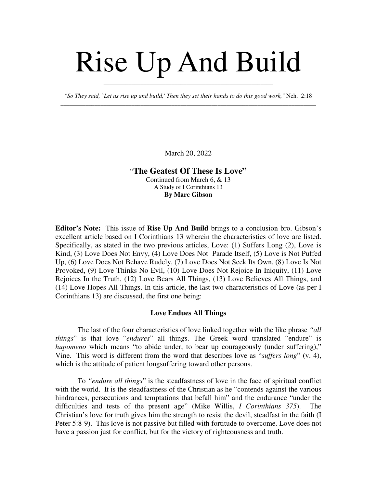## Rise Up And Build

*"So They said, `Let us rise up and build,' Then they set their hands to do this good work,"* Neh. 2:18 \_\_\_\_\_\_\_\_\_\_\_\_\_\_\_\_\_\_\_\_\_\_\_\_\_\_\_\_\_\_\_\_\_\_\_\_\_\_\_\_\_\_\_\_\_\_\_\_\_\_\_\_\_\_\_\_\_\_\_\_\_\_\_\_\_\_\_\_\_\_\_\_\_\_\_\_\_\_\_\_\_\_\_

\_\_\_\_\_\_\_\_\_\_\_\_\_\_\_\_\_\_\_\_\_\_\_\_\_\_\_\_\_\_\_\_\_\_\_\_\_\_\_\_\_\_\_\_\_\_\_\_\_\_\_\_\_\_\_

March 20, 2022

## "**The Geatest Of These Is Love"** Continued from March 6, & 13 A Study of I Corinthians 13

**By Marc Gibson**

**Editor's Note:** This issue of **Rise Up And Build** brings to a conclusion bro. Gibson's excellent article based on I Corinthians 13 wherein the characteristics of love are listed. Specifically, as stated in the two previous articles, Love: (1) Suffers Long (2), Love is Kind, (3) Love Does Not Envy, (4) Love Does Not Parade Itself, (5) Love is Not Puffed Up, (6) Love Does Not Behave Rudely, (7) Love Does Not Seek Its Own, (8) Love Is Not Provoked, (9) Love Thinks No Evil, (10) Love Does Not Rejoice In Iniquity, (11) Love Rejoices In the Truth, (12) Love Bears All Things, (13) Love Believes All Things, and (14) Love Hopes All Things. In this article, the last two characteristics of Love (as per I Corinthians 13) are discussed, the first one being:

## **Love Endues All Things**

The last of the four characteristics of love linked together with the like phrase *"all things*" is that love "*endures*" all things. The Greek word translated "endure" is *hupomeno* which means "to abide under, to bear up courageously (under suffering)," Vine. This word is different from the word that describes love as "*suffers long*" (v. 4), which is the attitude of patient longsuffering toward other persons.

To *"endure all things*" is the steadfastness of love in the face of spiritual conflict with the world. It is the steadfastness of the Christian as he "contends against the various hindrances, persecutions and temptations that befall him" and the endurance "under the difficulties and tests of the present age" (Mike Willis, *I Corinthians 375*). The Christian's love for truth gives him the strength to resist the devil, steadfast in the faith (I Peter 5:8-9). This love is not passive but filled with fortitude to overcome. Love does not have a passion just for conflict, but for the victory of righteousness and truth.